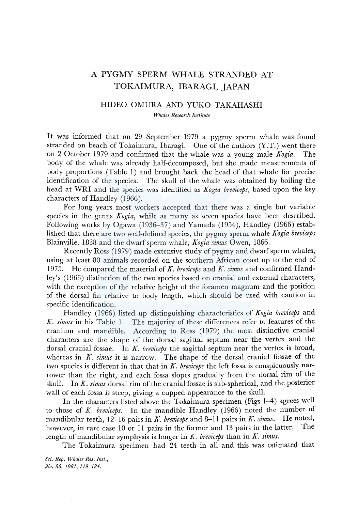# A PYGMY SPERM WHALE STRANDED AT TOKAIMURA, IBARAGI, JAPAN

# HIDEO OMURA AND YUKO TAKAHASHI

#### *Whales Research Institute*

It was informed that on 29 September 1979 a pygmy sperm whale was found stranded on beach of Tokaimura, Ibaragi. One of the authors (Y.T.) went there on 2 October 1979 and confirmed that the whale was a young male *Kogia.* The body of the whale was already half-decomposed, but she made measurements of body proportions (Table 1) and brought back the head of that whale for precise identification of the species. The skull of the whale was obtained by boiling the head at WRI and the species was identified as *Kogia breviceps,* based upon the key characters of Handley (1966).

For long years most workers accepted that there was a single but variable species in the genus *Kogia,* while as many as seven species have been described. Following works by Ogawa (1936-37) and Yamada (1954), Handley (1966) established that there are two well-defined species, the pygmy sperm whale *Kogia breviceps*  Blainville, 1838 and the dwarf sperm whale, *Kogia simus* Owen, 1866.

Recently Ross (1979) made extensive study of pygmy and dwarf sperm whales, using at least 80 animals recorded on the southern African coast up to the end of 1975. He compared the material of K. *breviceps* and K. *simus* and confirmed Handley's (1966) distinction of the two species based on cranial and external characters, with the exception of the relative height of the foramen magnum and the position of the dorsal fin relative to body length, which should be used with caution in specific identification.

Handley (1966) listed up distinguishing characteristics of *Kogia breviceps* and K. *simus* in his Table 1. The majority of these differences refer to features of the cranium and mandible. According to Ross (1979) the most distinctive cranial characters are the shape of the dorsal sagittal septum near the vertex and the dorsal cranial fossae. In K. *breviceps* the sagittal septum near the vertex is broad, whereas in *K. simus* it is narrow. The shape of the dorsal cranial fossae of the two species is different in that that in  $K$ . *breviceps* the left fossa is conspicuously narrower than the right, and each fossa slopes gradually from the dorsal rim of the skull. In *K. simus* dorsal rim of the cranial fossae is sub-spherical, and the posterior wall of each fossa is steep, giving a cupped appearance to the skull.

In the characters listed above the Tokaimura specimen (Figs 1-4) agrees well to those of *K. breviceps.* In the mandible Handley (1966) noted the number of mandibular teeth, 12-16 pairs in *K. breviceps* and 8-11 pairs in *K. simus.* He noted, however, in rare case 10 or 11 pairs in the former and 13 pairs in the latter. The length of mandibular symphysis is longer in *K. breviceps* than in *K. simus.* 

The Tokaimura specimen had 24 teeth in all and this was estimated that

*Sci. Rep. Whales Res. Inst., No. 33, 1981, 119-124.*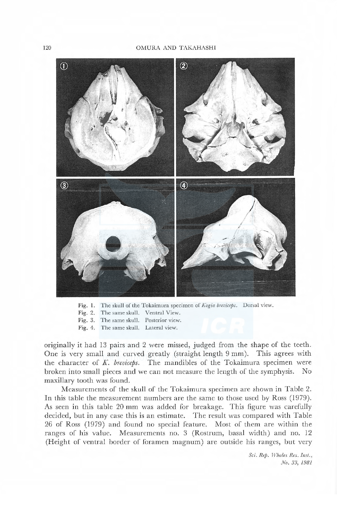

Fig. 1. The skull of the Tokaimura specimen of Kogia breviceps. Dorsal view. Fig. 2. The same skull. Ventral View. Fig. 3. The same skull. Posterior view. Fig. 4. The same skull. Lateral view.

originally it had 13 pairs and 2 were missed, judged from the shape of the teeth. One is very small and curved greatly (straight length 9 mm). This agrees with the character of K. breviceps. The mandibles of the Tokaimura specimen were broken into small pieces and we can not measure the length of the symphysis. No maxillary tooth was found.

Measurements of the skull of the Tokaimura specimen are shown in Table 2. In this table the measurement numbers are the same to those used by Ross (1979). As seen in this table 20 mm was added for breakage. This figure was carefully decided, but in any case this is an estimate. The result was compared with Table 26 of Ross (1979) and found no special feature. Most of them are within the ranges of his value. Measurements no. 3 (Rostrum, basal width) and no. 12 (Height of ventral border of foramen magnum) are outside his ranges, but very

> Sci. Rep. Whales Res. Inst., No. 33, 1981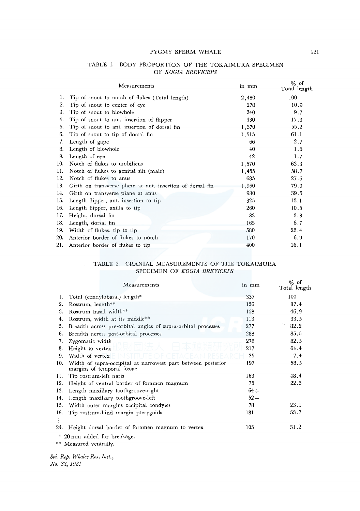# PYGMY SPERM WHALE 121

### TABLE 1. BODY PROPORTION OF THE TOKAIMURA SPECIMEN OF *KOGIA BREVICEPS*

|     | Measurements                                              | in mm | $%$ of<br>Total length |
|-----|-----------------------------------------------------------|-------|------------------------|
| 1.  | Tip of snout to notch of flukes (Total length)            | 2,480 | 100                    |
| 2.  | Tip of snout to center of eye                             | 270   | 10.9                   |
| 3.  | Tip of snout to blowhole                                  | 240   | 9.7                    |
| 4.  | Tip of snout to ant. insertion of flipper                 | 430   | 17.3                   |
| 5.  | Tip of snout to ant. insertion of dorsal fin              | 1,370 | 55.2                   |
| 6.  | Tip of snout to tip of dorsal fin                         | 1,515 | 61.1                   |
| 7.  | Length of gape                                            | 66    | 2.7                    |
| 8.  | Length of blowhole                                        | 40    | 1.6                    |
| 9.  | Length of eye                                             | 42    | 1.7                    |
| 10. | Notch of flukes to umbilicus                              | 1,570 | 63.3                   |
| 11. | Notch of flukes to genital slit (male)                    | 1,455 | 58.7                   |
| 12. | Notch of flukes to anus                                   | 685   | 27.6                   |
| 13. | Girth on transverse plane at ant. insertion of dorsal fln | 1,960 | 79.0                   |
| 14. | Girth on transverse plane at anus                         | 980   | 39.5                   |
| 15. | Length flipper, ant. insertion to tip                     | 325   | 13.1                   |
| 16. | Length flipper, axilla to tip                             | 260   | 10.5                   |
| 17. | Height, dorsal fin                                        | 83    | 3.3                    |
| 18. | Length, dorsal fin                                        | 165   | 6.7                    |
| 19. | Width of flukes, tip to tip                               | 580   | 23.4                   |
| 20. | Anterior border of flukes to notch                        | 170   | 6.9                    |
|     | 21. Anterior border of flukes to tip                      | 400   | 16.1                   |

# TABLE 2. CRANIAL MEASUREMENTS OF THE TOKAIMURA SPECIMEN OF *KOGIA BREVICEPS*

|     | Measurements                                                                               | in mm | $%$ of<br>Total length |
|-----|--------------------------------------------------------------------------------------------|-------|------------------------|
| ı.  | Total (condylobasal) length*                                                               | 337   | 100                    |
| 2.  | Rostrum, length**                                                                          | 126   | 37.4                   |
| 3.  | Rostrum basal width**                                                                      | 158   | 46.9                   |
| 4.  | Rostrum, width at its middle**                                                             | 113   | 33.5                   |
| 5.  | Breadth across pre-orbital angles of supra-orbital processes                               | 277   | 82.2                   |
| 6.  | Breadth across post-orbital processes                                                      | 288   | 85.5                   |
| 7.  | Zygomatic width                                                                            | 278   | 82.5                   |
| 8.  | Height to vertex                                                                           | 217   | 64.4                   |
| 9.  | Width of vertex                                                                            | 25    | 7.4                    |
| 10. | Width of supra-occipital at narrowest part between posterior<br>margins of temporal fossae | 197   | 58.5                   |
| 11. | Tip rostrum-left naris                                                                     | 163   | 48.4                   |
| 12. | Height of ventral border of foramen magnum                                                 | 75    | 22.3                   |
| 13. | Length maxillary toothgroove-right                                                         | $64+$ |                        |
| 14. | Length maxillary toothgroove-left                                                          | $52+$ |                        |
| 15. | Width outer margins occipital condyles                                                     | 78    | 23.1                   |
| 16. | Tip rostrum-hind margin pterygoids                                                         | 181   | 53.7                   |
| 24. | Height dorsal border of foramen magnum to vertex                                           | 105   | 31.2                   |
|     | * 20 mm added for breakage.                                                                |       |                        |

\*\* Measured ventrally.

*Sci. Rep. Whales Res. Inst., No. 33, 1981*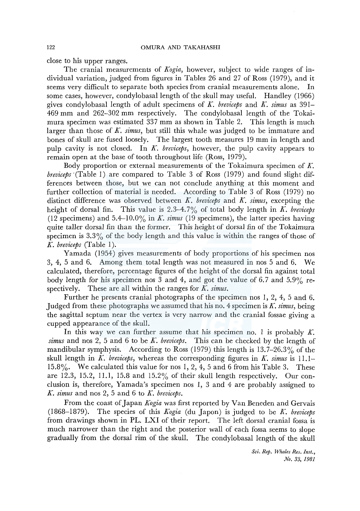close to his upper ranges.

The cranial measurements of *Kogia,* however, subject to wide ranges of individual variation, judged from figures in Tables 26 and 27 of Ross (1979), and it seems very difficult to separate both species from cranial measurements alone. In some cases, however, condylobasal length of the skull may useful. Handley (1966) gives condylobasal length of adult specimens of *K. breviceps* and *K. simus* as 391- 469 mm and 262-302 mm respectively. The condylobasal length of the Tokaimura specimen was estimated 337 mm as shown in Table 2. This length is much larger than those of *K. simus,* but still this whale was judged to be immature and bones of skull are fused loosely. The largest tooth measures 19 mm in length and pulp cavity is not closed. In *K. breviceps,* however, the pulp cavity appears to remain open at the base of tooth throughout life (Ross, 1979).

Body proportion or external measurements of the Tokaimura specimen of *K. breviceps* ·(Table l) are compared to Table 3 of Ross ( 1979) and found slight differences between those, but we can not conclude anything at this moment and further collection of material is needed. According to Table 3 of Ross (1979) no distinct difference was observed between *K. breviceps* and *K. simus,* excepting the height of dorsal fin. This value is 2.3–4.7% of total body length in *K. breviceps* (12 specimens) and 5.4-10.0% in *K. simus* (19 specimens), the latter species having quite taller dorsal fin than the former. This height of dorsal fin of the Tokaimura specimen is 3.3% of the body length and this value is within the ranges of those of *K. breviceps* (Table 1 ).

Yamada (1954) gives measurements of body proportions of his specimen nos 3, 4, 5 and 6. Among them total length was not measured in nos 5 and 6. We calculated, therefore, percentage figures of the height of the dorsal fin against total body length for his specimen nos 3 and 4, and got the value of 6.7 and 5.9% respectively. These are all within the ranges for *K. simus.* 

Further he presents cranial photographs of the specimen nos 1, 2, 4, 5 and 6. Judged from these photographs we assumed that his no. 4 specimen is *K. simus,* being the sagittal septum near the vertex is very narrow and the cranial fossae giving a cupped appearance of the skull.

In this way we can further assume that his specimen no. 1 is probably  $K$ . *simus* and nos 2, 5 and 6 to be *K. breviceps.* This can be checked by the length of mandibular symphysis. According to Ross (1979) this length is  $13.7-26.3\%$  of the skull length in *K. breviceps,* whereas the corresponding figures in *K. simus* is 11.1- 15.8%. We calculated this value for nos 1, 2, 4, 5 and 6 from his Table 3. These are  $12.3$ ,  $15.2$ ,  $11.1$ ,  $15.8$  and  $15.2\%$  of their skull length respectively. Our conclusion is, therefore, Yamada's specimen nos 1, 3 and 4 are probably assigned to *K. simus* and nos 2, 5 and 6 to *K. breviceps.* 

From the coast of Japan *Kogia* was first reported by Van Beneden and Gervais (1868-1879). The species of this *Kogia* (du Japan) is judged to be *K. breviceps*  from drawings shown in PL. LXI of their report. The left dorsal cranial fossa is much narrower than the right and the posterior wall of each fossa seems to slope gradually from the dorsal rim of the skull. The condylobasal length of the skull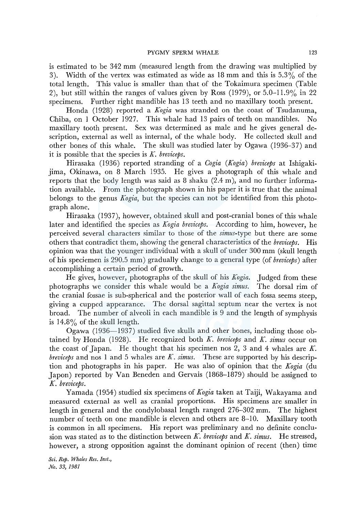#### PYGMY SPERM WHALE 123

is estimated to be 342 mm (measured length from the drawing was multiplied by 3). Width of the vertex was estimated as wide as  $18 \text{ mm}$  and this is  $5.3\%$  of the total length. This value is smaller than that of the Tokaimura specimen (Table 2), but still within the ranges of values given by Ross (1979), or 5.0-11.9% in 22 specimens. Further right mandible has 13 teeth and no maxillary tooth present.

Honda (1928) reported a *Kogia* was stranded on the coast of Tsudanuma, Chiba, on I October 1927. This whale had 13 pairs of teeth on mandibles. No maxillary tooth present. Sex was determined as male and he gives general description, external as well as internal, of the whale body. He collected skull and other bones of this whale. The skull was studied later by Ogawa (1936-37) and it is possible that the species is *K. breviceps.* 

Hirasaka (1936) reported stranding of a *Cogia (Kogia) breviceps* at Ishigakijima, Okinawa, on 8 March 1935. He gives a photograph of this whale and reports that the body length was said as  $8 \text{ shaku } (2.4 \text{ m})$ , and no further information available. From the photograph shown in his paper it is true that the animal belongs to the genus *Kogia,* but the species can not be identified from this photograph alone.

Hirasaka (1937), however, obtained skull and post-cranial bones of this whale later and identified the species as *Kogia breviceps.* According to him, however, he perceived several characters similar to those of the *simus-type* but there are some others that contradict them, showing the general characteristics of the *breviceps.* His opinion was that the younger individual with a skull of under 300 mm (skull length of his speciemen is 290.5 mm) gradually change to a general type (of *breviceps)* after accomplishing a certain period of growth.

He gives, however, photographs of the skull of his *Kogia.* Judged from these photographs we consider this whale would be a *Kogia simus.* The dorsal rim of the cranial fossae is sub-spherical and the posterior wall of each fossa seems steep, giving a cupped appearance. The dorsal sagittal septum near the vertex is not broad. The number of alveoli in each mandible is 9 and the length of symphysis is 14.8% of the skull length.

Ogawa (1936-1937) studied five skulls and other bones, including those obtained by Honda (1928). He recognized both *K. breviceps* and *K. simus* occur on the coast of Japan. He thought that his specimen nos 2, 3 and 4 whales are K. *breviceps* and nos I and 5 whales are *K. simus.* These are supported by his description and photographs in his paper. He was also of opinion that the *Kogia* (du Japan) reported by Van Beneden and Gervais (1868-1879) should be assigned to *K. breviceps.* 

Yamada (1954) studied six specimens of *Kogia* taken at Taiji, Wakayama and measured external as well as cranial proportions. His specimens are smaller in length in general and the condylobasal length ranged 276-302 mm. The highest number of teeth on one mandible is eleven and others are 8-10. Maxillary tooth is common in all specimens. His report was preliminary and no definite conclusion was stated as to the distinction between *K. breviceps* and *K. simus.* He stressed, however, a strong opposition against the dominant opinion of recent (then) time

*Sci. Rep. Whales Res. Inst., No. 33, 1981*